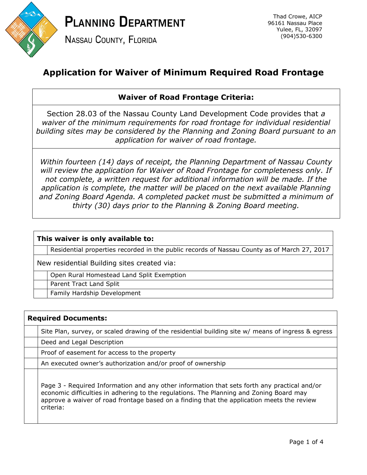

**PLANNING DEPARTMENT** 

**NASSAU COUNTY, FLORIDA** 

Thad Crowe, AICP 96161 Nassau Place Yulee, FL, 32097 (904)530-6300

## **Application for Waiver of Minimum Required Road Frontage**

## **Waiver of Road Frontage Criteria:**

Section 28.03 of the Nassau County Land Development Code provides that *a waiver of the minimum requirements for road frontage for individual residential building sites may be considered by the Planning and Zoning Board pursuant to an application for waiver of road frontage.*

*Within fourteen (14) days of receipt, the Planning Department of Nassau County will review the application for Waiver of Road Frontage for completeness only. If not complete, a written request for additional information will be made. If the application is complete, the matter will be placed on the next available Planning and Zoning Board Agenda. A completed packet must be submitted a minimum of thirty (30) days prior to the Planning & Zoning Board meeting.*

## **This waiver is only available to:**

Residential properties recorded in the public records of Nassau County as of March 27, 2017

New residential Building sites created via:

Open Rural Homestead Land Split Exemption

Parent Tract Land Split

Family Hardship Development

| <b>Required Documents:</b> |                                                                                                                                                                                                                                                                                                    |  |  |  |
|----------------------------|----------------------------------------------------------------------------------------------------------------------------------------------------------------------------------------------------------------------------------------------------------------------------------------------------|--|--|--|
|                            | Site Plan, survey, or scaled drawing of the residential building site w/ means of ingress & egress                                                                                                                                                                                                 |  |  |  |
|                            | Deed and Legal Description                                                                                                                                                                                                                                                                         |  |  |  |
|                            | Proof of easement for access to the property                                                                                                                                                                                                                                                       |  |  |  |
|                            | An executed owner's authorization and/or proof of ownership                                                                                                                                                                                                                                        |  |  |  |
|                            | Page 3 - Required Information and any other information that sets forth any practical and/or<br>economic difficulties in adhering to the regulations. The Planning and Zoning Board may<br>approve a waiver of road frontage based on a finding that the application meets the review<br>criteria: |  |  |  |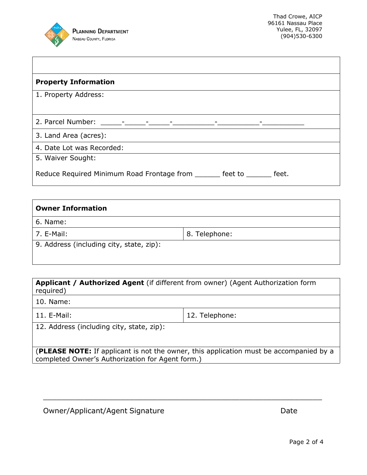

 $\mathsf{I}$ 

| <b>Property Information</b>                                                      |
|----------------------------------------------------------------------------------|
| 1. Property Address:                                                             |
|                                                                                  |
| 3. Land Area (acres):                                                            |
| 4. Date Lot was Recorded:                                                        |
| 5. Waiver Sought:                                                                |
| Reduce Required Minimum Road Frontage from<br>$feet$ to $\qquad \qquad$<br>feet. |

| <b>Owner Information</b>                 |               |  |  |  |
|------------------------------------------|---------------|--|--|--|
| 6. Name:                                 |               |  |  |  |
| 7. E-Mail:                               | 8. Telephone: |  |  |  |
| 9. Address (including city, state, zip): |               |  |  |  |

**Applicant / Authorized Agent** (if different from owner) (Agent Authorization form required)

10. Name:

11. E-Mail: 2010 12. Telephone:

|  |  | 12. Address (including city, state, zip): |  |  |  |
|--|--|-------------------------------------------|--|--|--|
|--|--|-------------------------------------------|--|--|--|

(**PLEASE NOTE:** If applicant is not the owner, this application must be accompanied by a completed Owner's Authorization for Agent form.)

\_\_\_\_\_\_\_\_\_\_\_\_\_\_\_\_\_\_\_\_\_\_\_\_\_\_\_\_\_\_\_\_\_\_\_\_\_\_\_\_\_\_\_\_\_\_\_\_\_\_\_\_\_\_\_\_\_\_\_\_\_

Owner/Applicant/Agent Signature data and the Date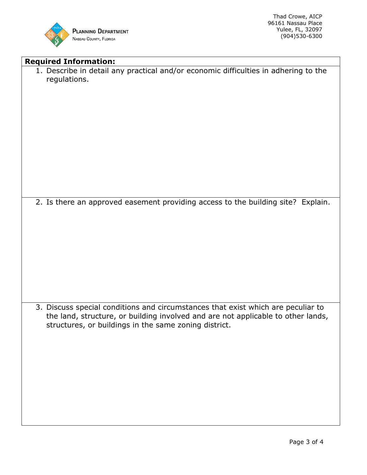

Thad Crowe, AICP 96161 Nassau Place Yulee, FL, 32097 (904)530-6300

٦

| <b>Required Information:</b>                                                                                                                                                                                                  |
|-------------------------------------------------------------------------------------------------------------------------------------------------------------------------------------------------------------------------------|
| 1. Describe in detail any practical and/or economic difficulties in adhering to the<br>regulations.                                                                                                                           |
| 2. Is there an approved easement providing access to the building site? Explain.                                                                                                                                              |
|                                                                                                                                                                                                                               |
| 3. Discuss special conditions and circumstances that exist which are peculiar to<br>the land, structure, or building involved and are not applicable to other lands,<br>structures, or buildings in the same zoning district. |